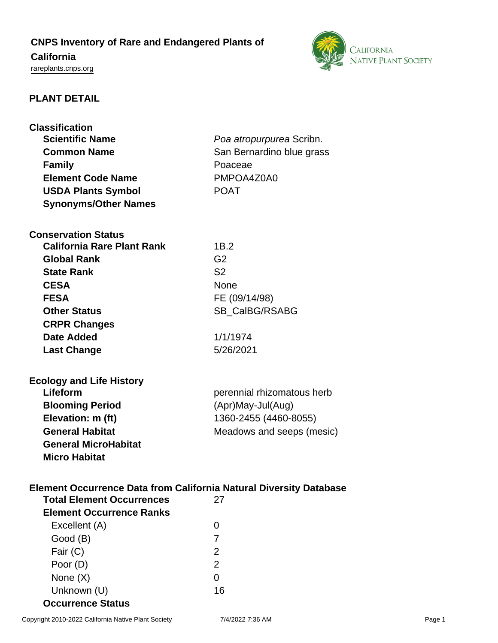# **CNPS Inventory of Rare and Endangered Plants of**

## **California**

<rareplants.cnps.org>



### **PLANT DETAIL**

| <b>Classification</b>                               |                                                                                 |
|-----------------------------------------------------|---------------------------------------------------------------------------------|
| <b>Scientific Name</b>                              | Poa atropurpurea Scribn.                                                        |
| <b>Common Name</b>                                  | San Bernardino blue grass                                                       |
| <b>Family</b>                                       | Poaceae                                                                         |
| <b>Element Code Name</b>                            | PMPOA4Z0A0                                                                      |
| <b>USDA Plants Symbol</b>                           | <b>POAT</b>                                                                     |
| <b>Synonyms/Other Names</b>                         |                                                                                 |
| <b>Conservation Status</b>                          |                                                                                 |
| <b>California Rare Plant Rank</b>                   | 1B.2                                                                            |
| <b>Global Rank</b>                                  | G <sub>2</sub>                                                                  |
| <b>State Rank</b>                                   | S <sub>2</sub>                                                                  |
| <b>CESA</b>                                         | <b>None</b>                                                                     |
| <b>FESA</b>                                         | FE (09/14/98)                                                                   |
| <b>Other Status</b>                                 | SB_CalBG/RSABG                                                                  |
| <b>CRPR Changes</b>                                 |                                                                                 |
| Date Added                                          | 1/1/1974                                                                        |
| <b>Last Change</b>                                  | 5/26/2021                                                                       |
| <b>Ecology and Life History</b>                     |                                                                                 |
| Lifeform                                            | perennial rhizomatous herb                                                      |
| <b>Blooming Period</b>                              | (Apr)May-Jul(Aug)                                                               |
| Elevation: m (ft)                                   | 1360-2455 (4460-8055)                                                           |
| <b>General Habitat</b>                              | Meadows and seeps (mesic)                                                       |
| <b>General MicroHabitat</b><br><b>Micro Habitat</b> |                                                                                 |
| <b>Total Element Occurrences</b>                    | <b>Element Occurrence Data from California Natural Diversity Database</b><br>27 |

| TULAI LIGINGIIL ULLUITGIILGS    | ZΙ |
|---------------------------------|----|
| <b>Element Occurrence Ranks</b> |    |
| Excellent (A)                   |    |
| Good (B)                        |    |
| Fair $(C)$                      | 2  |
| Poor (D)                        | 2  |
| None $(X)$                      |    |
| Unknown (U)                     | 16 |
| <b>Occurrence Status</b>        |    |